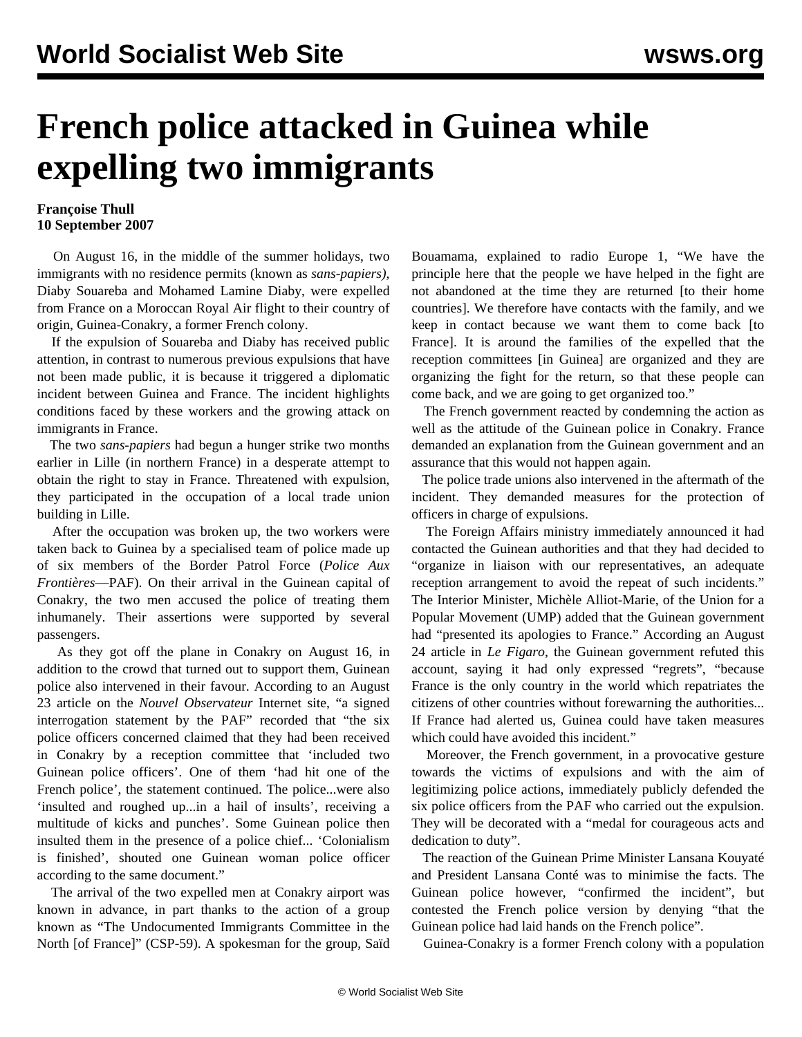## **French police attacked in Guinea while expelling two immigrants**

## **Françoise Thull 10 September 2007**

 On August 16, in the middle of the summer holidays, two immigrants with no residence permits (known as *sans-papiers)*, Diaby Souareba and Mohamed Lamine Diaby, were expelled from France on a Moroccan Royal Air flight to their country of origin, Guinea-Conakry, a former French colony.

 If the expulsion of Souareba and Diaby has received public attention, in contrast to numerous previous expulsions that have not been made public, it is because it triggered a diplomatic incident between Guinea and France. The incident highlights conditions faced by these workers and the growing attack on immigrants in France.

 The two *sans-papiers* had begun a hunger strike two months earlier in Lille (in northern France) in a desperate attempt to obtain the right to stay in France. Threatened with expulsion, they participated in the occupation of a local trade union building in Lille.

 After the occupation was broken up, the two workers were taken back to Guinea by a specialised team of police made up of six members of the Border Patrol Force (*Police Aux Frontières*—PAF). On their arrival in the Guinean capital of Conakry, the two men accused the police of treating them inhumanely. Their assertions were supported by several passengers.

 As they got off the plane in Conakry on August 16, in addition to the crowd that turned out to support them, Guinean police also intervened in their favour. According to an August 23 article on the *Nouvel Observateur* Internet site, "a signed interrogation statement by the PAF" recorded that "the six police officers concerned claimed that they had been received in Conakry by a reception committee that 'included two Guinean police officers'. One of them 'had hit one of the French police', the statement continued. The police...were also 'insulted and roughed up...in a hail of insults', receiving a multitude of kicks and punches'. Some Guinean police then insulted them in the presence of a police chief... 'Colonialism is finished', shouted one Guinean woman police officer according to the same document."

 The arrival of the two expelled men at Conakry airport was known in advance, in part thanks to the action of a group known as "The Undocumented Immigrants Committee in the North [of France]" (CSP-59). A spokesman for the group, Saïd Bouamama, explained to radio Europe 1, "We have the principle here that the people we have helped in the fight are not abandoned at the time they are returned [to their home countries]. We therefore have contacts with the family, and we keep in contact because we want them to come back [to France]. It is around the families of the expelled that the reception committees [in Guinea] are organized and they are organizing the fight for the return, so that these people can come back, and we are going to get organized too."

 The French government reacted by condemning the action as well as the attitude of the Guinean police in Conakry. France demanded an explanation from the Guinean government and an assurance that this would not happen again.

 The police trade unions also intervened in the aftermath of the incident. They demanded measures for the protection of officers in charge of expulsions.

 The Foreign Affairs ministry immediately announced it had contacted the Guinean authorities and that they had decided to "organize in liaison with our representatives, an adequate reception arrangement to avoid the repeat of such incidents." The Interior Minister, Michèle Alliot-Marie, of the Union for a Popular Movement (UMP) added that the Guinean government had "presented its apologies to France." According an August 24 article in *Le Figaro*, the Guinean government refuted this account, saying it had only expressed "regrets", "because France is the only country in the world which repatriates the citizens of other countries without forewarning the authorities... If France had alerted us, Guinea could have taken measures which could have avoided this incident."

 Moreover, the French government, in a provocative gesture towards the victims of expulsions and with the aim of legitimizing police actions, immediately publicly defended the six police officers from the PAF who carried out the expulsion. They will be decorated with a "medal for courageous acts and dedication to duty".

 The reaction of the Guinean Prime Minister Lansana Kouyaté and President Lansana Conté was to minimise the facts. The Guinean police however, "confirmed the incident", but contested the French police version by denying "that the Guinean police had laid hands on the French police".

Guinea-Conakry is a former French colony with a population